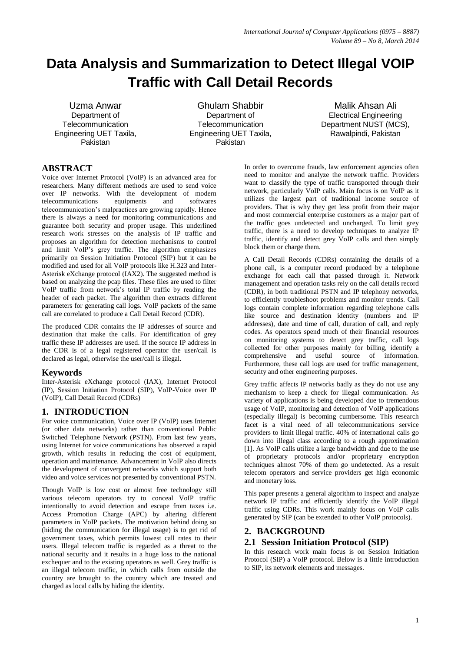# **Data Analysis and Summarization to Detect Illegal VOIP Traffic with Call Detail Records**

Uzma Anwar Department of **Telecommunication** Engineering UET Taxila, Pakistan

Ghulam Shabbir Department of **Telecommunication** Engineering UET Taxila, Pakistan

Malik Ahsan Ali Electrical Engineering Department NUST (MCS), Rawalpindi, Pakistan

# **ABSTRACT**

Voice over Internet Protocol (VoIP) is an advanced area for researchers. Many different methods are used to send voice over IP networks. With the development of modern telecommunications equipments and softwares telecommunication's malpractices are growing rapidly. Hence there is always a need for monitoring communications and guarantee both security and proper usage. This underlined research work stresses on the analysis of IP traffic and proposes an algorithm for detection mechanisms to control and limit VoIP's grey traffic. The algorithm emphasizes primarily on Session Initiation Protocol (SIP) but it can be modified and used for all VoIP protocols like H.323 and Inter-Asterisk eXchange protocol (IAX2). The suggested method is based on analyzing the pcap files. These files are used to filter VoIP traffic from network's total IP traffic by reading the header of each packet. The algorithm then extracts different parameters for generating call logs. VoIP packets of the same call are correlated to produce a Call Detail Record (CDR).

The produced CDR contains the IP addresses of source and destination that make the calls. For identification of grey traffic these IP addresses are used. If the source IP address in the CDR is of a legal registered operator the user/call is declared as legal, otherwise the user/call is illegal.

## **Keywords**

Inter-Asterisk eXchange protocol (IAX), Internet Protocol (IP), Session Initiation Protocol (SIP), VoIP-Voice over IP (VoIP), Call Detail Record (CDRs)

# **1. INTRODUCTION**

For voice communication, Voice over IP (VoIP) uses Internet (or other data networks) rather than conventional Public Switched Telephone Network (PSTN). From last few years, using Internet for voice communications has observed a rapid growth, which results in reducing the cost of equipment, operation and maintenance. Advancement in VoIP also directs the development of convergent networks which support both video and voice services not presented by conventional PSTN.

Though VoIP is low cost or almost free technology still various telecom operators try to conceal VoIP traffic intentionally to avoid detection and escape from taxes i.e. Access Promotion Charge (APC) by altering different parameters in VoIP packets. The motivation behind doing so (hiding the communication for illegal usage) is to get rid of government taxes, which permits lowest call rates to their users. Illegal telecom traffic is regarded as a threat to the national security and it results in a huge loss to the national exchequer and to the existing operators as well. Grey traffic is an illegal telecom traffic, in which calls from outside the country are brought to the country which are treated and charged as local calls by hiding the identity.

In order to overcome frauds, law enforcement agencies often need to monitor and analyze the network traffic. Providers want to classify the type of traffic transported through their network, particularly VoIP calls. Main focus is on VoIP as it utilizes the largest part of traditional income source of providers. That is why they get less profit from their major and most commercial enterprise customers as a major part of the traffic goes undetected and uncharged. To limit grey traffic, there is a need to develop techniques to analyze IP traffic, identify and detect grey VoIP calls and then simply block them or charge them.

A Call Detail Records (CDRs) containing the details of a phone call, is a computer record produced by a telephone exchange for each call that passed through it. Network management and operation tasks rely on the call details record (CDR), in both traditional PSTN and IP telephony networks, to efficiently troubleshoot problems and monitor trends. Call logs contain complete information regarding telephone calls like source and destination identity (numbers and IP addresses), date and time of call, duration of call, and reply codes. As operators spend much of their financial resources on monitoring systems to detect grey traffic, call logs collected for other purposes mainly for billing, identify a comprehensive and useful source of information. Furthermore, these call logs are used for traffic management, security and other engineering purposes.

Grey traffic affects IP networks badly as they do not use any mechanism to keep a check for illegal communication. As variety of applications is being developed due to tremendous usage of VoIP, monitoring and detection of VoIP applications (especially illegal) is becoming cumbersome. This research facet is a vital need of all telecommunications service providers to limit illegal traffic. 40% of international calls go down into illegal class according to a rough approximation [1]. As VoIP calls utilize a large bandwidth and due to the use of proprietary protocols and/or proprietary encryption techniques almost 70% of them go undetected. As a result telecom operators and service providers get high economic and monetary loss.

This paper presents a general algorithm to inspect and analyze network IP traffic and efficiently identify the VoIP illegal traffic using CDRs. This work mainly focus on VoIP calls generated by SIP (can be extended to other VoIP protocols).

# **2. BACKGROUND**

## **2.1 Session Initiation Protocol (SIP)**

In this research work main focus is on Session Initiation Protocol (SIP) a VoIP protocol. Below is a little introduction to SIP, its network elements and messages.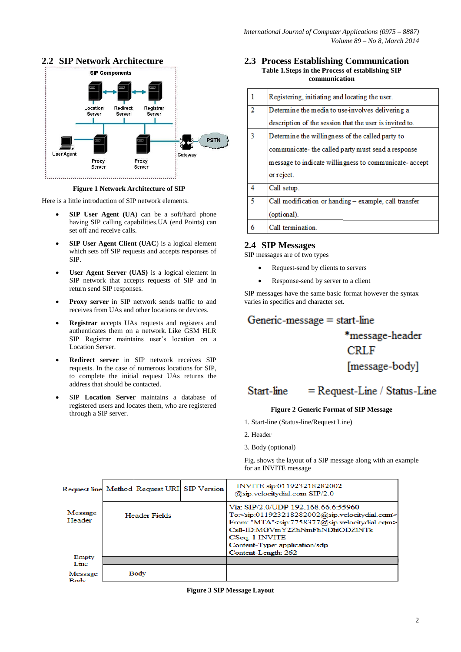

# **2.2 SIP Network Architecture**

#### **Figure 1 Network Architecture of SIP**

Here is a little introduction of SIP network elements.

- **SIP User Agent (UA**) can be a soft/hard phone having SIP calling capabilities.UA (end Points) can set off and receive calls.
- **SIP User Agent Client (UAC**) is a logical element which sets off SIP requests and accepts responses of SIP.
- **User Agent Server (UAS)** is a logical element in SIP network that accepts requests of SIP and in return send SIP responses.
- **Proxy server** in SIP network sends traffic to and receives from UAs and other locations or devices.
- **Registrar** accepts UAs requests and registers and authenticates them on a network. Like GSM HLR SIP Registrar maintains user's location on a Location Server.
- **Redirect server** in SIP network receives SIP requests. In the case of numerous locations for SIP, to complete the initial request UAs returns the address that should be contacted.
- SIP **Location Server** maintains a database of registered users and locates them, who are registered through a SIP server.

#### **2.3 Process Establishing Communication Table 1.Steps in the Process of establishing SIP communication**

|   | Registering, initiating and locating the user.          |
|---|---------------------------------------------------------|
| 2 | Determine the media to use involves delivering a        |
|   | description of the session that the user is invited to. |
| ٩ | Determine the willingness of the called party to        |
|   | communicate- the called party must send a response      |
|   | message to indicate willingness to communicate-accept   |
|   | or reject.                                              |
| 4 | Call setup.                                             |
| 5 | Call modification or handing - example, call transfer   |
|   | (optional).                                             |
| 6 | Call termination.                                       |

## **2.4 SIP Messages**

SIP messages are of two types

- Request-send by clients to servers
- Response-send by server to a client

SIP messages have the same basic format however the syntax varies in specifics and character set.

# Generic-message  $=$  start-line

# \*message-header **CRLF** [message-body]

#### = Request-Line / Status-Line Start-line

# **Figure 2 Generic Format of SIP Message**

- 1. Start-line (Status-line/Request Line)
- 2. Header
- 3. Body (optional)

Fig. shows the layout of a SIP message along with an example for an INVITE message

|                        |               | Request line Method Request URI SIP Version |  | INVITE sip:011923218282002<br>@sip.velocitydial.com SIP/2.0                                                                                                                                                                                                                                                                            |
|------------------------|---------------|---------------------------------------------|--|----------------------------------------------------------------------------------------------------------------------------------------------------------------------------------------------------------------------------------------------------------------------------------------------------------------------------------------|
| Message<br>Header      | Header Fields |                                             |  | Via: SIP/2.0/UDP 192.168.66.6:55960<br>To: <sip:011923218282002@sip.velocitydial.com><br/>From: "MTA"<sip:7758377@sip.velocitydial.com><br/>Call-ID:MGVmY2ZhNmFhNDhiODZINTk<br/>CSeq: 1 INVITE<br/>Content-Type: application/sdp<br/>Content-Length: 262</sip:7758377@sip.velocitydial.com></sip:011923218282002@sip.velocitydial.com> |
| Empty<br>Line          |               |                                             |  |                                                                                                                                                                                                                                                                                                                                        |
| Message<br><b>Body</b> |               | Body                                        |  |                                                                                                                                                                                                                                                                                                                                        |

**Figure 3 SIP Message Layout**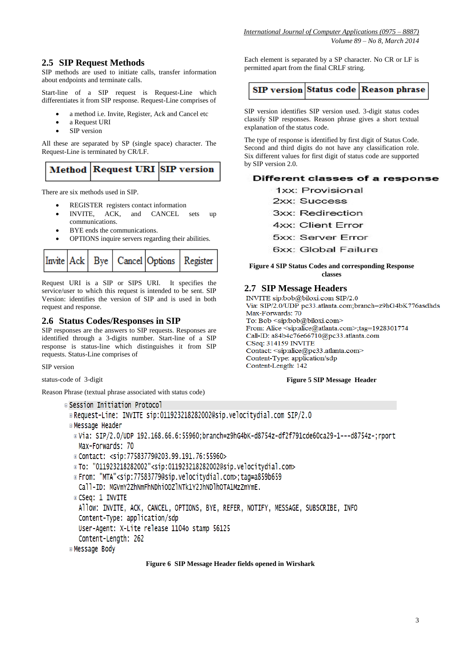# **2.5 SIP Request Methods**

SIP methods are used to initiate calls, transfer information about endpoints and terminate calls.

Start-line of a SIP request is Request-Line which differentiates it from SIP response. Request-Line comprises of

- a method i.e. Invite, Register, Ack and Cancel etc
- a Request URI
- SIP version

All these are separated by SP (single space) character. The Request-Line is terminated by CR/LF.

There are six methods used in SIP.

- REGISTER registers contact information
- INVITE, ACK, and CANCEL sets up communications.
- BYE ends the communications.
- OPTIONS inquire servers regarding their abilities.



Request URI is a SIP or SIPS URI. It specifies the service/user to which this request is intended to be sent. SIP Version: identifies the version of SIP and is used in both request and response.

## **2.6 Status Codes/Responses in SIP**

SIP responses are the answers to SIP requests. Responses are identified through a 3-digits number. Start-line of a SIP response is status-line which distinguishes it from SIP requests. Status-Line comprises of

SIP version

status-code of 3-digit

Reason Phrase (textual phrase associated with status code)

```
E Session Initiation Protocol
```
B Request-Line: INVITE sip:011923218282002@sip.velocitydial.com SIP/2.0

- Message Header
- ® Via: SIP/2.0/UDP 192.168.66.6:55960;branch=z9hG4bK-d8754z-df2f791cde60ca29-1---d8754z-;rport Max-Forwards: 70
- Contact: <sip:77583779@203.99.191.76:55960>
- To: "011923218282002"<sip:011923218282002@sip.velocitydial.com>
- **From: "MTA"<sip:77583779@sip.velocitydial.com>:taq=a859b659**
- Call-ID: MGVmY2ZhNmFhNDhiODZlNTk1Y2JhNDlhOTA1MzZmYmE.

⊞ CSeq: 1 INVITE

Allow: INVITE, ACK, CANCEL, OPTIONS, BYE, REFER, NOTIFY, MESSAGE, SUBSCRIBE, INFO

Content-Type: application/sdp

User-Agent: X-Lite release 1104o stamp 56125

Content-Length: 262

⊞ Message Body

#### **Figure 6 SIP Message Header fields opened in Wirshark**

Each element is separated by a SP character. No CR or LF is permitted apart from the final CRLF string.

| <b>SIP version Status code Reason phrase</b> |  |  |  |  |
|----------------------------------------------|--|--|--|--|
|----------------------------------------------|--|--|--|--|

SIP version identifies SIP version used. 3-digit status codes classify SIP responses. Reason phrase gives a short textual explanation of the status code.

The type of response is identified by first digit of Status Code. Second and third digits do not have any classification role. Six different values for first digit of status code are supported by SIP version 2.0.

#### Different classes of a response

1xx: Provisional

2xx: Success

3xx: Redirection

**4xx: Client Error** 

5xx: Server Error

6xx: Global Failure

#### **Figure 4 SIP Status Codes and corresponding Response classes**

#### **2.7 SIP Message Headers**

INVITE sip:bob@biloxi.com SIP/2.0 Via: SIP/2.0/UDP pc33.atlanta.com;branch=z9hG4bK776asdhds Max-Forwards: 70 To: Bob <sip:bob@biloxi.com> From: Alice <sip:alice@atlanta.com>;tag=1928301774 Call-ID: a84b4c76e66710@pc33.atlanta.com CSeq: 314159 INVITE Contact: <sip:alice@pc33.atlanta.com> Content-Type: application/sdp Content-Length: 142

#### **Figure 5 SIP Message Header**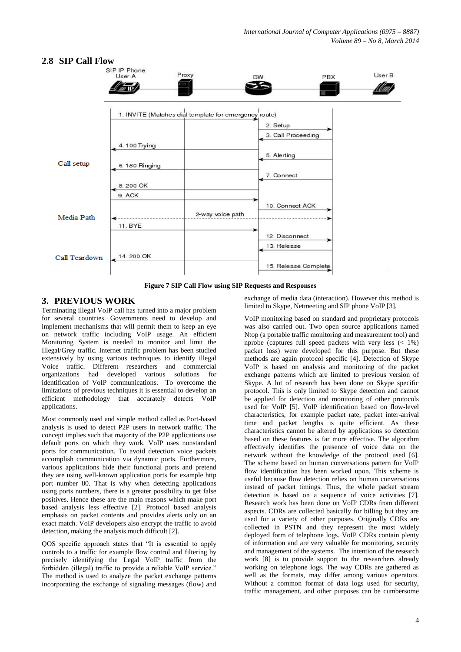# **2.8 SIP Call Flow**



**Figure 7 SIP Call Flow using SIP Requests and Responses**

# **3. PREVIOUS WORK**

Terminating illegal VoIP call has turned into a major problem for several countries. Governments need to develop and implement mechanisms that will permit them to keep an eye on network traffic including VoIP usage. An efficient Monitoring System is needed to monitor and limit the Illegal/Grey traffic. Internet traffic problem has been studied extensively by using various techniques to identify illegal Voice traffic. Different researchers and commercial organizations had developed various solutions for identification of VoIP communications. To overcome the limitations of previous techniques it is essential to develop an efficient methodology that accurately detects VoIP applications.

Most commonly used and simple method called as Port-based analysis is used to detect P2P users in network traffic. The concept implies such that majority of the P2P applications use default ports on which they work. VoIP uses nonstandard ports for communication. To avoid detection voice packets accomplish communication via dynamic ports. Furthermore, various applications hide their functional ports and pretend they are using well-known application ports for example http port number 80. That is why when detecting applications using ports numbers, there is a greater possibility to get false positives. Hence these are the main reasons which make port based analysis less effective [2]. Protocol based analysis emphasis on packet contents and provides alerts only on an exact match. VoIP developers also encrypt the traffic to avoid detection, making the analysis much difficult [2].

QOS specific approach states that "It is essential to apply controls to a traffic for example flow control and filtering by precisely identifying the Legal VoIP traffic from the forbidden (illegal) traffic to provide a reliable VoIP service." The method is used to analyze the packet exchange patterns incorporating the exchange of signaling messages (flow) and

exchange of media data (interaction). However this method is limited to Skype, Netmeeting and SIP phone VoIP [3].

VoIP monitoring based on standard and proprietary protocols was also carried out. Two open source applications named Ntop (a portable traffic monitoring and measurement tool) and nprobe (captures full speed packets with very less  $(< 1\%)$ packet loss) were developed for this purpose. But these methods are again protocol specific [4]. Detection of Skype VoIP is based on analysis and monitoring of the packet exchange patterns which are limited to previous version of Skype. A lot of research has been done on Skype specific protocol. This is only limited to Skype detection and cannot be applied for detection and monitoring of other protocols used for VoIP [5]. VoIP identification based on flow-level characteristics, for example packet rate, packet inter-arrival time and packet lengths is quite efficient. As these characteristics cannot be altered by applications so detection based on these features is far more effective. The algorithm effectively identifies the presence of voice data on the network without the knowledge of the protocol used [6]. The scheme based on human conversations pattern for VoIP flow identification has been worked upon. This scheme is useful because flow detection relies on human conversations instead of packet timings. Thus, the whole packet stream detection is based on a sequence of voice activities [7]. Research work has been done on VoIP CDRs from different aspects. CDRs are collected basically for billing but they are used for a variety of other purposes. Originally CDRs are collected in PSTN and they represent the most widely deployed form of telephone logs. VoIP CDRs contain plenty of information and are very valuable for monitoring, security and management of the systems. The intention of the research work [8] is to provide support to the researchers already working on telephone logs. The way CDRs are gathered as well as the formats, may differ among various operators. Without a common format of data logs used for security, traffic management, and other purposes can be cumbersome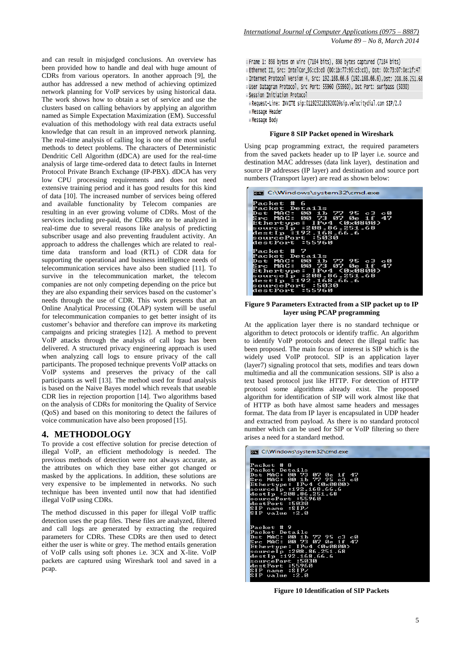and can result in misjudged conclusions. An overview has been provided how to handle and deal with huge amount of CDRs from various operators. In another approach [9], the author has addressed a new method of achieving optimized network planning for VoIP services by using historical data. The work shows how to obtain a set of service and use the clusters based on calling behaviors by applying an algorithm named as Simple Expectation Maximization (EM). Successful evaluation of this methodology with real data extracts useful knowledge that can result in an improved network planning. The real-time analysis of calling log is one of the most useful methods to detect problems. The characters of Deterministic Dendritic Cell Algorithm (dDCA) are used for the real-time analysis of large time-ordered data to detect faults in Internet Protocol Private Branch Exchange (IP-PBX). dDCA has very low CPU processing requirements and does not need extensive training period and it has good results for this kind of data [10]. The increased number of services being offered and available functionality by Telecom companies are resulting in an ever growing volume of CDRs. Most of the services including pre-paid, the CDRs are to be analyzed in real-time due to several reasons like analysis of predicting subscriber usage and also preventing fraudulent activity. An approach to address the challenges which are related to realtime data transform and load (RTL) of CDR data for supporting the operational and business intelligence needs of telecommunication services have also been studied [11]. To survive in the telecommunication market, the telecom companies are not only competing depending on the price but they are also expanding their services based on the customer's needs through the use of CDR. This work presents that an Online Analytical Processing (OLAP) system will be useful for telecommunication companies to get better insight of its customer's behavior and therefore can improve its marketing campaigns and pricing strategies [12]. A method to prevent VoIP attacks through the analysis of call logs has been delivered. A structured privacy engineering approach is used when analyzing call logs to ensure privacy of the call participants. The proposed technique prevents VoIP attacks on VoIP systems and preserves the privacy of the call participants as well [13]. The method used for fraud analysis is based on the Naive Bayes model which reveals that useable CDR lies in rejection proportion [14]. Two algorithms based on the analysis of CDRs for monitoring the Quality of Service (QoS) and based on this monitoring to detect the failures of voice communication have also been proposed [15].

#### **4. METHODOLOGY**

To provide a cost effective solution for precise detection of illegal VoIP, an efficient methodology is needed. The previous methods of detection were not always accurate, as the attributes on which they base either got changed or masked by the applications. In addition, these solutions are very expensive to be implemented in networks. No such technique has been invented until now that had identified illegal VoIP using CDRs.

The method discussed in this paper for illegal VoIP traffic detection uses the pcap files. These files are analyzed, filtered and call logs are generated by extracting the required parameters for CDRs. These CDRs are then used to detect either the user is white or grey. The method entails generation of VoIP calls using soft phones i.e. 3CX and X-lite. VoIP packets are captured using Wireshark tool and saved in a pcap.

B Frame 1: 898 bytes on wire (7184 bits), 898 bytes captured (7184 bits) # Ethernet II, Src: IntelCor\_95:c3:c0 (00:1b:77:95:c3:c0), Dst: 00:73:07:0e:1f:47 B Internet Protocol Version 4, Src: 192.168.66.6 (192.168.66.6), Dst: 208.86.251.68 Duser Datagram Protocol, Src Port: 55960 (55960), Dst Port: surfpass (5030) B Session Initiation Protocol

- Request-Line: INVITE sip:011923218282002@sip.velocitydial.com SIP/2.0 **E** Message Header
- **EMessage Body**

#### **Figure 8 SIP Packet opened in Wireshark**

Using pcap programming extract, the required parameters from the saved packets header up to IP layer i.e. source and destination MAC addresses (data link layer), destination and source IP addresses (IP layer) and destination and source port numbers (Transport layer) are read as shown below:

| <b>EXEC:\Windows\system32\cmd.exe</b>                                                                                                                                                                          |
|----------------------------------------------------------------------------------------------------------------------------------------------------------------------------------------------------------------|
| Packet # 6<br>Packet Details<br>Dst MAC: 00 1b 77 95 c3 c0<br>Src MAC: 00 73 07 0e 1f 47<br>Ethertype: IPv4 (0x0800)<br>sourceIp :208.86.251.68<br>destIp :192.168.66.6<br>sourcePort :5030<br>destPort :55960 |
| Packet # 7<br>Packet Details<br>Dst MAC: 00 1b 77 95 c3 c0<br>Src MAC: 00 73 07 0e 1f 47<br>Ethertype: IPv4 (0x0800)<br>sourceIp :208.86.251.68<br>destIp :192.168.66.6<br>sourcePort :5030<br>destPort :55960 |

#### **Figure 9 Parameters Extracted from a SIP packet up to IP layer using PCAP programming**

At the application layer there is no standard technique or algorithm to detect protocols or identify traffic. An algorithm to identify VoIP protocols and detect the illegal traffic has been proposed. The main focus of interest is SIP which is the widely used VoIP protocol. SIP is an application layer (layer7) signaling protocol that sets, modifies and tears down multimedia and all the communication sessions. SIP is also a text based protocol just like HTTP. For detection of HTTP protocol some algorithms already exist. The proposed algorithm for identification of SIP will work almost like that of HTTP as both have almost same headers and messages format. The data from IP layer is encapsulated in UDP header and extracted from payload. As there is no standard protocol number which can be used for SIP or VoIP filtering so there arises a need for a standard method.

| <b>EXEC:\Windows\system32\cmd.exe</b>                                                                                                                                                                                                                       |
|-------------------------------------------------------------------------------------------------------------------------------------------------------------------------------------------------------------------------------------------------------------|
| Packet # 8<br>Packet Details<br>Dst MAC: 00 73 07 0e 1f 47<br>Src MAC: 00 1b 77 95 c3 c0<br>Ethertype: IPv4 (0 <u>x0800)</u><br>sourceIp :192.168.66.6<br>destIp :208.86.251.68<br>sourcePort :55960<br>destPort :5030<br>SIP name :SIP/<br>SIP value :2.0  |
| Packet # 9<br>Packet Details<br>Dst MAC: 00 1b 77 95 c3 c0<br>Src MAC: 00 73 07 0e 1f<br>-47<br>Ethertype: IPv4 (0x0800)<br>sourceIp :208.86.251.68<br>destIp :192.168.66.6<br>sourcePort :5030<br>destPort :55960<br>name :SIP/<br>S I P<br>SIP value :2.0 |

**Figure 10 Identification of SIP Packets**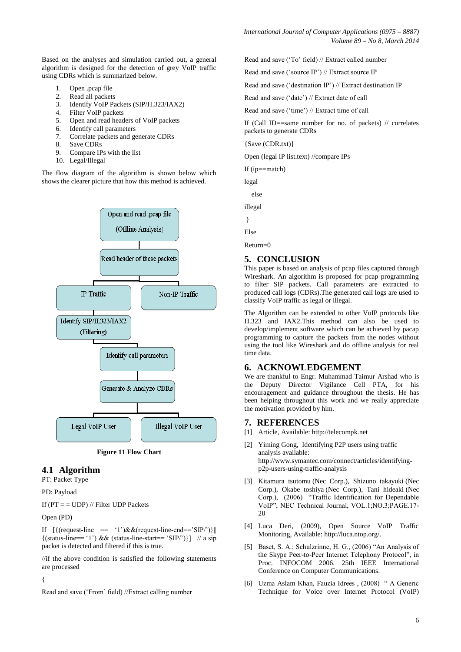*Volume 89 – No 8, March 2014*

Based on the analyses and simulation carried out, a general algorithm is designed for the detection of grey VoIP traffic using CDRs which is summarized below.

- 1. Open .pcap file
- 2. Read all packets
- 3. Identify VoIP Packets (SIP/H.323/IAX2)
- 4. Filter VoIP packets
- 5. Open and read headers of VoIP packets
- 6. Identify call parameters
- 7. Correlate packets and generate CDRs
- 8. Save CDRs
- 9. Compare IPs with the list
- 10. Legal/Illegal

The flow diagram of the algorithm is shown below which shows the clearer picture that how this method is achieved.



**Figure 11 Flow Chart**

# **4.1 Algorithm**

PT: Packet Type

PD: Payload

If  $(PT = UDP)$  // Filter UDP Packets

Open (PD)

If  $[(\text{request-line} == '1') \& \& (\text{request-line-end} == 'SIP)']$  $\{(\text{status-line} == '1') \&\& (\text{status-line} - \text{start} == 'SIP)'\}\}\$  // a sip packet is detected and filtered if this is true.

//if the above condition is satisfied the following statements are processed

{

Read and save ('From' field) //Extract calling number

Read and save ('To' field) // Extract called number

Read and save ('source IP') // Extract source IP

Read and save ('destination IP') // Extract destination IP

Read and save ('date') // Extract date of call

Read and save ('time') // Extract time of call

If (Call ID==same number for no. of packets) // correlates packets to generate CDRs

{Save (CDR.txt)}

Open (legal IP list.text) //compare IPs

If (ip==match)

legal

else

illegal

}

Else

Return=0

### **5. CONCLUSION**

This paper is based on analysis of pcap files captured through Wireshark. An algorithm is proposed for pcap programming to filter SIP packets. Call parameters are extracted to produced call logs (CDRs).The generated call logs are used to classify VoIP traffic as legal or illegal.

The Algorithm can be extended to other VoIP protocols like H.323 and IAX2.This method can also be used to develop/implement software which can be achieved by pacap programming to capture the packets from the nodes without using the tool like Wireshark and do offline analysis for real time data.

#### **6. ACKNOWLEDGEMENT**

We are thankful to Engr. Muhammad Taimur Arshad who is the Deputy Director Vigilance Cell PTA, for his encouragement and guidance throughout the thesis. He has been helping throughout this work and we really appreciate the motivation provided by him.

#### **7. REFERENCES**

- [1] Article, Available: [http://telecompk.net](http://telecompk.net/)
- [2] Yiming Gong, Identifying P2P users using traffic analysis available: [http://www.symantec.com/connect/articles/identifying](http://www.symantec.com/connect/articles/identifying-p2p-users-using-traffic-analysis)[p2p-users-using-traffic-analysis](http://www.symantec.com/connect/articles/identifying-p2p-users-using-traffic-analysis)
- [3] Kitamura tsutomu (Nec Corp.), Shizuno takayuki (Nec Corp.), [Okabe toshiya](http://sciencelinks.jp/j-east/result.php?field1=author&keyword1=OKABE%20TOSHIYA&combine=phrase&search=SEARCH) (Nec Corp.), Tani hideaki (Nec Corp.), (2006) "Traffic Identification for Dependable VoIP", NEC Technical Journal, VOL.1;NO.3;PAGE.17- 20
- [4] Luca Deri, (2009), Open Source VoIP Traffic Monitoring, Available: [http://luca.ntop.org/.](http://luca.ntop.org/)
- [5] Baset, S. A.; Schulzrinne, H. G., (2006) "An Analysis of the Skype Peer-to-Peer Internet Telephony Protocol", in Proc. INFOCOM 2006. 25th IEEE International Conference on Computer Communications.
- [6] Uzma Aslam Khan, Fauzia Idrees , (2008) " A Generic Technique for Voice over Internet Protocol (VoIP)